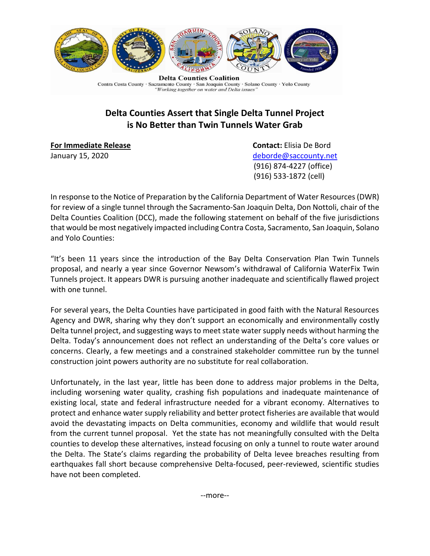

Contra Costa County · Sacramento County · San Joaquin County · Solano County · Yolo County "Working together on water and Delta issues"

## **Delta Counties Assert that Single Delta Tunnel Project is No Better than Twin Tunnels Water Grab**

**For Immediate Release Contact:** Elisia De Bord

January 15, 2020 and the state of the state of the [deborde@saccounty.net](mailto:deborde@saccounty.net) (916) 874-4227 (office) (916) 533-1872 (cell)

In response to the Notice of Preparation by the California Department of Water Resources(DWR) for review of a single tunnel through the Sacramento-San Joaquin Delta, Don Nottoli, chair of the Delta Counties Coalition (DCC), made the following statement on behalf of the five jurisdictions that would be most negatively impacted including Contra Costa, Sacramento, San Joaquin, Solano and Yolo Counties:

"It's been 11 years since the introduction of the Bay Delta Conservation Plan Twin Tunnels proposal, and nearly a year since Governor Newsom's withdrawal of California WaterFix Twin Tunnels project. It appears DWR is pursuing another inadequate and scientifically flawed project with one tunnel.

For several years, the Delta Counties have participated in good faith with the Natural Resources Agency and DWR, sharing why they don't support an economically and environmentally costly Delta tunnel project, and suggesting ways to meet state water supply needs without harming the Delta. Today's announcement does not reflect an understanding of the Delta's core values or concerns. Clearly, a few meetings and a constrained stakeholder committee run by the tunnel construction joint powers authority are no substitute for real collaboration.

Unfortunately, in the last year, little has been done to address major problems in the Delta, including worsening water quality, crashing fish populations and inadequate maintenance of existing local, state and federal infrastructure needed for a vibrant economy. Alternatives to protect and enhance water supply reliability and better protect fisheries are available that would avoid the devastating impacts on Delta communities, economy and wildlife that would result from the current tunnel proposal. Yet the state has not meaningfully consulted with the Delta counties to develop these alternatives, instead focusing on only a tunnel to route water around the Delta. The State's claims regarding the probability of Delta levee breaches resulting from earthquakes fall short because comprehensive Delta-focused, peer-reviewed, scientific studies have not been completed.